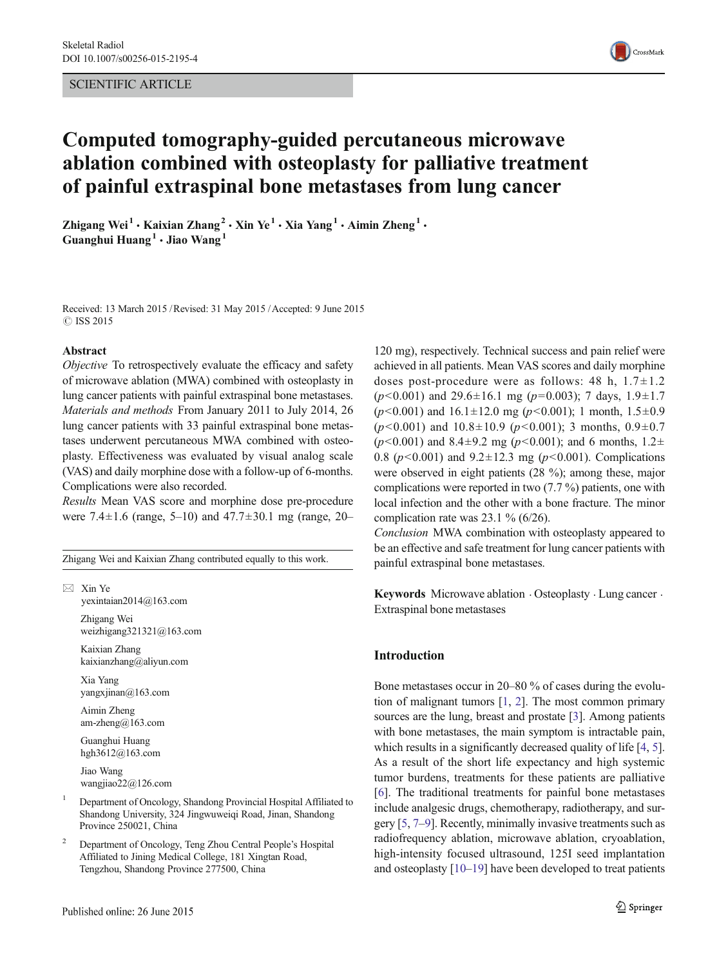# SCIENTIFIC ARTICLE



# Computed tomography-guided percutaneous microwave ablation combined with osteoplasty for palliative treatment of painful extraspinal bone metastases from lung cancer

Zhigang Wei<sup>1</sup> • Kaixian Zhang<sup>2</sup> • Xin Ye<sup>1</sup> • Xia Yang<sup>1</sup> • Aimin Zheng<sup>1</sup> • Guanghui Huang<sup>1</sup>  $\cdot$  Jiao Wang<sup>1</sup>

Received: 13 March 2015 /Revised: 31 May 2015 /Accepted: 9 June 2015  $\odot$  ISS 2015

#### Abstract

Objective To retrospectively evaluate the efficacy and safety of microwave ablation (MWA) combined with osteoplasty in lung cancer patients with painful extraspinal bone metastases. Materials and methods From January 2011 to July 2014, 26 lung cancer patients with 33 painful extraspinal bone metastases underwent percutaneous MWA combined with osteoplasty. Effectiveness was evaluated by visual analog scale (VAS) and daily morphine dose with a follow-up of 6-months. Complications were also recorded.

Results Mean VAS score and morphine dose pre-procedure were 7.4±1.6 (range, 5–10) and 47.7±30.1 mg (range, 20–

Zhigang Wei and Kaixian Zhang contributed equally to this work.

 $\boxtimes$  Xin Ye

yexintaian2014@163.com Zhigang Wei

weizhigang321321@163.com Kaixian Zhang

kaixianzhang@aliyun.com

Xia Yang yangxjinan@163.com

Aimin Zheng am-zheng@163.com

Guanghui Huang hgh3612@163.com

Jiao Wang wangjiao22@126.com

- <sup>1</sup> Department of Oncology, Shandong Provincial Hospital Affiliated to Shandong University, 324 Jingwuweiqi Road, Jinan, Shandong Province 250021, China
- <sup>2</sup> Department of Oncology, Teng Zhou Central People's Hospital Affiliated to Jining Medical College, 181 Xingtan Road, Tengzhou, Shandong Province 277500, China

120 mg), respectively. Technical success and pain relief were achieved in all patients. Mean VAS scores and daily morphine doses post-procedure were as follows: 48 h,  $1.7 \pm 1.2$  $(p<0.001)$  and 29.6 $\pm$ 16.1 mg ( $p=0.003$ ); 7 days, 1.9 $\pm$ 1.7  $(p<0.001)$  and  $16.1 \pm 12.0$  mg  $(p<0.001)$ ; 1 month,  $1.5 \pm 0.9$  $(p<0.001)$  and  $10.8\pm10.9$   $(p<0.001)$ ; 3 months,  $0.9\pm0.7$  $(p<0.001)$  and 8.4 $\pm$ 9.2 mg ( $p<0.001$ ); and 6 months, 1.2 $\pm$ 0.8 ( $p$ <0.001) and 9.2 $\pm$ 12.3 mg ( $p$ <0.001). Complications were observed in eight patients (28 %); among these, major complications were reported in two (7.7 %) patients, one with local infection and the other with a bone fracture. The minor complication rate was 23.1 % (6/26).

Conclusion MWA combination with osteoplasty appeared to be an effective and safe treatment for lung cancer patients with painful extraspinal bone metastases.

Keywords Microwave ablation  $\cdot$  Osteoplasty  $\cdot$  Lung cancer  $\cdot$ Extraspinal bone metastases

# Introduction

Bone metastases occur in 20–80 % of cases during the evolution of malignant tumors [\[1](#page-5-0), [2\]](#page-5-0). The most common primary sources are the lung, breast and prostate [[3\]](#page-5-0). Among patients with bone metastases, the main symptom is intractable pain, which results in a significantly decreased quality of life [\[4](#page-5-0), [5\]](#page-5-0). As a result of the short life expectancy and high systemic tumor burdens, treatments for these patients are palliative [\[6](#page-5-0)]. The traditional treatments for painful bone metastases include analgesic drugs, chemotherapy, radiotherapy, and surgery [\[5](#page-5-0), [7](#page-5-0)–[9\]](#page-5-0). Recently, minimally invasive treatments such as radiofrequency ablation, microwave ablation, cryoablation, high-intensity focused ultrasound, 125I seed implantation and osteoplasty [[10](#page-5-0)–[19\]](#page-5-0) have been developed to treat patients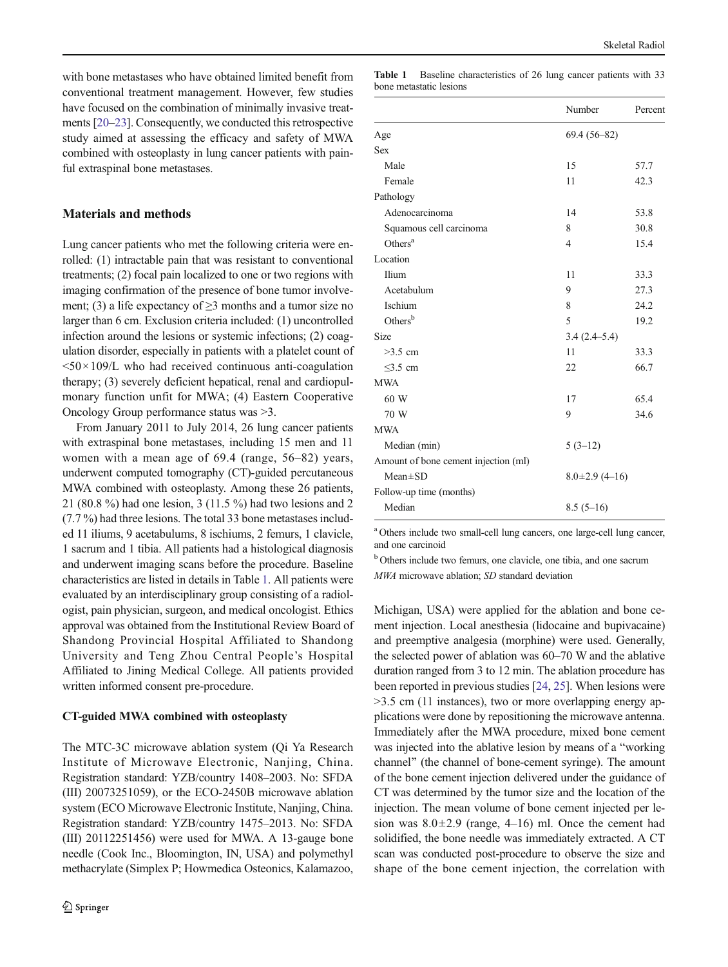with bone metastases who have obtained limited benefit from conventional treatment management. However, few studies have focused on the combination of minimally invasive treatments [\[20](#page-5-0)–[23\]](#page-5-0). Consequently, we conducted this retrospective study aimed at assessing the efficacy and safety of MWA combined with osteoplasty in lung cancer patients with painful extraspinal bone metastases.

# Materials and methods

Lung cancer patients who met the following criteria were enrolled: (1) intractable pain that was resistant to conventional treatments; (2) focal pain localized to one or two regions with imaging confirmation of the presence of bone tumor involvement; (3) a life expectancy of  $\geq$ 3 months and a tumor size no larger than 6 cm. Exclusion criteria included: (1) uncontrolled infection around the lesions or systemic infections; (2) coagulation disorder, especially in patients with a platelet count of  $50 \times 109$ /L who had received continuous anti-coagulation therapy; (3) severely deficient hepatical, renal and cardiopulmonary function unfit for MWA; (4) Eastern Cooperative Oncology Group performance status was >3.

From January 2011 to July 2014, 26 lung cancer patients with extraspinal bone metastases, including 15 men and 11 women with a mean age of 69.4 (range, 56–82) years, underwent computed tomography (CT)-guided percutaneous MWA combined with osteoplasty. Among these 26 patients, 21 (80.8 %) had one lesion, 3 (11.5 %) had two lesions and 2 (7.7 %) had three lesions. The total 33 bone metastases included 11 iliums, 9 acetabulums, 8 ischiums, 2 femurs, 1 clavicle, 1 sacrum and 1 tibia. All patients had a histological diagnosis and underwent imaging scans before the procedure. Baseline characteristics are listed in details in Table 1. All patients were evaluated by an interdisciplinary group consisting of a radiologist, pain physician, surgeon, and medical oncologist. Ethics approval was obtained from the Institutional Review Board of Shandong Provincial Hospital Affiliated to Shandong University and Teng Zhou Central People's Hospital Affiliated to Jining Medical College. All patients provided written informed consent pre-procedure.

#### CT-guided MWA combined with osteoplasty

The MTC-3C microwave ablation system (Qi Ya Research Institute of Microwave Electronic, Nanjing, China. Registration standard: YZB/country 1408–2003. No: SFDA (III) 20073251059), or the ECO-2450B microwave ablation system (ECO Microwave Electronic Institute, Nanjing, China. Registration standard: YZB/country 1475–2013. No: SFDA (III) 20112251456) were used for MWA. A 13-gauge bone needle (Cook Inc., Bloomington, IN, USA) and polymethyl methacrylate (Simplex P; Howmedica Osteonics, Kalamazoo,

Table 1 Baseline characteristics of 26 lung cancer patients with 33 bone metastatic lesions

|                                      | Number            | Percent |
|--------------------------------------|-------------------|---------|
| Age                                  | $69.4(56-82)$     |         |
| <b>Sex</b>                           |                   |         |
| Male                                 | 15                | 57.7    |
| Female                               | 11                | 42.3    |
| Pathology                            |                   |         |
| Adenocarcinoma                       | 14                | 53.8    |
| Squamous cell carcinoma              | 8                 | 30.8    |
| Others <sup>a</sup>                  | 4                 | 15.4    |
| Location                             |                   |         |
| Ilium                                | 11                | 33.3    |
| Acetabulum                           | 9                 | 27.3    |
| Ischium                              | 8                 | 24.2    |
| Others $b$                           | 5                 | 19.2    |
| Size                                 | $3.4(2.4 - 5.4)$  |         |
| $>3.5$ cm                            | 11                | 33.3    |
| $\leq$ 3.5 cm                        | 22                | 66.7    |
| <b>MWA</b>                           |                   |         |
| 60 W                                 | 17                | 65.4    |
| 70 W                                 | 9                 | 34.6    |
| <b>MWA</b>                           |                   |         |
| Median (min)                         | $5(3-12)$         |         |
| Amount of bone cement injection (ml) |                   |         |
| $Mean \pm SD$                        | $8.0\pm2.9(4-16)$ |         |
| Follow-up time (months)              |                   |         |
| Median                               | $8.5(5-16)$       |         |

<sup>a</sup> Others include two small-cell lung cancers, one large-cell lung cancer, and one carcinoid

<sup>b</sup> Others include two femurs, one clavicle, one tibia, and one sacrum MWA microwave ablation; SD standard deviation

Michigan, USA) were applied for the ablation and bone cement injection. Local anesthesia (lidocaine and bupivacaine) and preemptive analgesia (morphine) were used. Generally, the selected power of ablation was 60–70 W and the ablative duration ranged from 3 to 12 min. The ablation procedure has been reported in previous studies [[24](#page-5-0), [25\]](#page-5-0). When lesions were >3.5 cm (11 instances), two or more overlapping energy applications were done by repositioning the microwave antenna. Immediately after the MWA procedure, mixed bone cement was injected into the ablative lesion by means of a "working" channel" (the channel of bone-cement syringe). The amount of the bone cement injection delivered under the guidance of CT was determined by the tumor size and the location of the injection. The mean volume of bone cement injected per lesion was  $8.0 \pm 2.9$  (range, 4–16) ml. Once the cement had solidified, the bone needle was immediately extracted. A CT scan was conducted post-procedure to observe the size and shape of the bone cement injection, the correlation with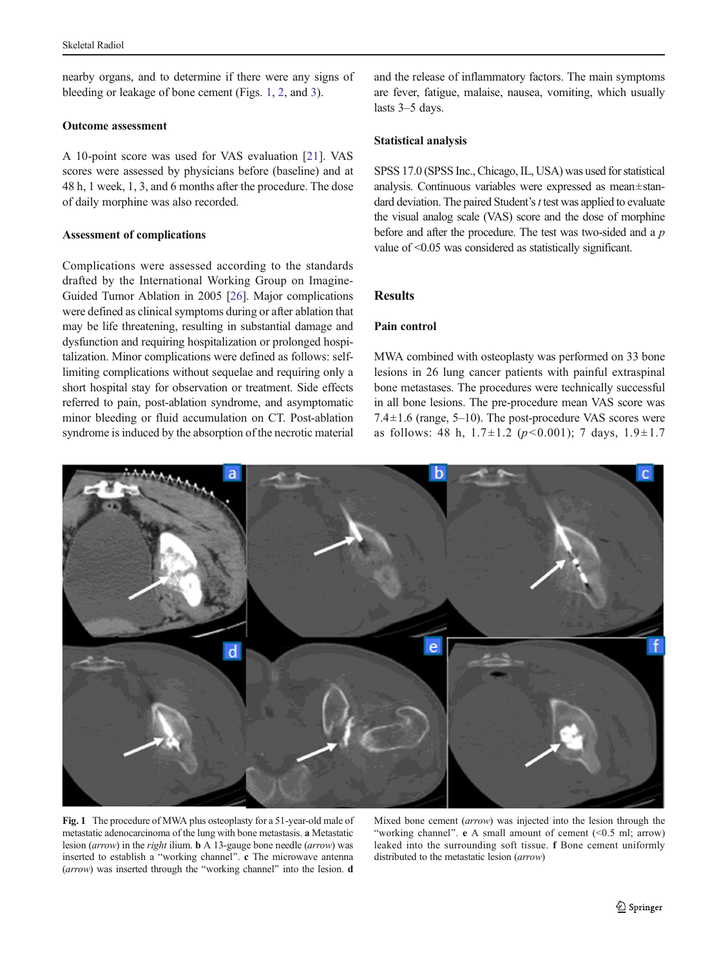nearby organs, and to determine if there were any signs of bleeding or leakage of bone cement (Figs. 1, [2,](#page-3-0) and [3](#page-3-0)).

### Outcome assessment

A 10-point score was used for VAS evaluation [\[21](#page-5-0)]. VAS scores were assessed by physicians before (baseline) and at 48 h, 1 week, 1, 3, and 6 months after the procedure. The dose of daily morphine was also recorded.

### Assessment of complications

Complications were assessed according to the standards drafted by the International Working Group on Imagine-Guided Tumor Ablation in 2005 [\[26](#page-5-0)]. Major complications were defined as clinical symptoms during or after ablation that may be life threatening, resulting in substantial damage and dysfunction and requiring hospitalization or prolonged hospitalization. Minor complications were defined as follows: selflimiting complications without sequelae and requiring only a short hospital stay for observation or treatment. Side effects referred to pain, post-ablation syndrome, and asymptomatic minor bleeding or fluid accumulation on CT. Post-ablation syndrome is induced by the absorption of the necrotic material

and the release of inflammatory factors. The main symptoms are fever, fatigue, malaise, nausea, vomiting, which usually lasts 3–5 days.

# Statistical analysis

SPSS 17.0 (SPSS Inc., Chicago, IL, USA) was used for statistical analysis. Continuous variables were expressed as mean±standard deviation. The paired Student's  $t$  test was applied to evaluate the visual analog scale (VAS) score and the dose of morphine before and after the procedure. The test was two-sided and a p value of <0.05 was considered as statistically significant.

# **Results**

# Pain control

MWA combined with osteoplasty was performed on 33 bone lesions in 26 lung cancer patients with painful extraspinal bone metastases. The procedures were technically successful in all bone lesions. The pre-procedure mean VAS score was 7.4 $\pm$ 1.6 (range, 5–10). The post-procedure VAS scores were as follows: 48 h,  $1.7 \pm 1.2$  ( $p < 0.001$ ); 7 days,  $1.9 \pm 1.7$ 



Fig. 1 The procedure of MWA plus osteoplasty for a 51-year-old male of metastatic adenocarcinoma of the lung with bone metastasis. a Metastatic lesion (arrow) in the right ilium. b A 13-gauge bone needle (arrow) was inserted to establish a "working channel". c The microwave antenna  $(arrow)$  was inserted through the "working channel" into the lesion. d

Mixed bone cement (arrow) was injected into the lesion through the "working channel". e A small amount of cement  $(\leq 0.5 \text{ ml}; \text{arrow})$ leaked into the surrounding soft tissue. f Bone cement uniformly distributed to the metastatic lesion (arrow)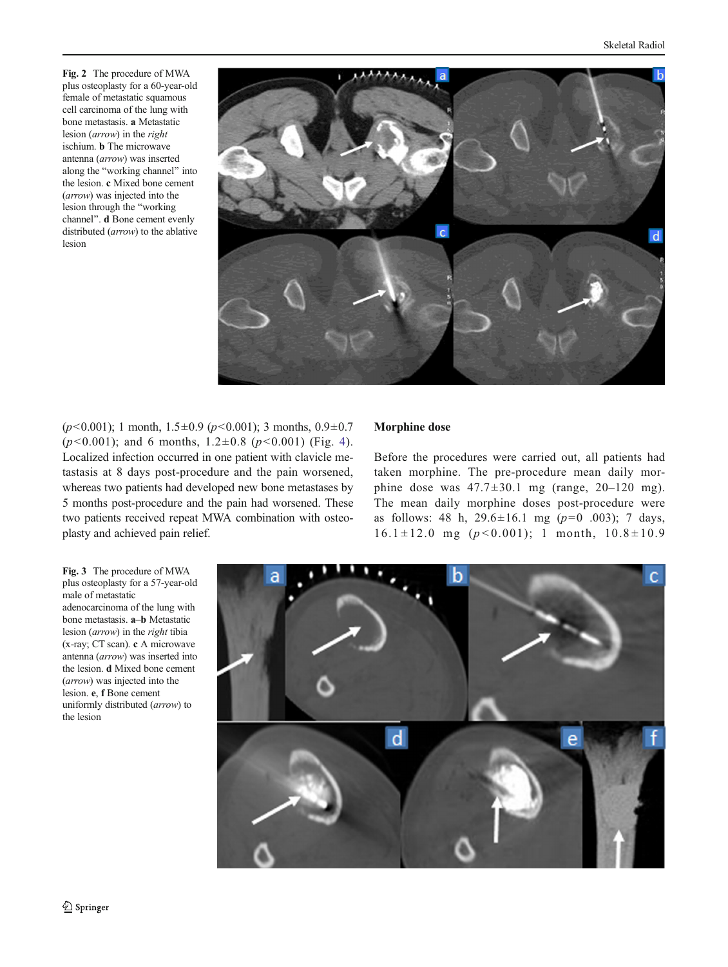<span id="page-3-0"></span>Fig. 2 The procedure of MWA plus osteoplasty for a 60-year-old female of metastatic squamous cell carcinoma of the lung with bone metastasis. a Metastatic lesion (arrow) in the right ischium. b The microwave antenna (arrow) was inserted along the "working channel" into the lesion. c Mixed bone cement (arrow) was injected into the lesion through the "working channel". d Bone cement evenly distributed (arrow) to the ablative lesion



 $(p<0.001)$ ; 1 month,  $1.5\pm0.9$   $(p<0.001)$ ; 3 months,  $0.9\pm0.7$  $(p<0.001)$ ; and 6 months,  $1.2\pm0.8$   $(p<0.001)$  (Fig. [4](#page-4-0)). Localized infection occurred in one patient with clavicle metastasis at 8 days post-procedure and the pain worsened, whereas two patients had developed new bone metastases by 5 months post-procedure and the pain had worsened. These two patients received repeat MWA combination with osteoplasty and achieved pain relief.

### Morphine dose

Before the procedures were carried out, all patients had taken morphine. The pre-procedure mean daily morphine dose was  $47.7 \pm 30.1$  mg (range,  $20 - 120$  mg). The mean daily morphine doses post-procedure were as follows: 48 h,  $29.6 \pm 16.1$  mg ( $p=0$  .003); 7 days,  $16.1 \pm 12.0$  mg  $(p < 0.001)$ ; 1 month,  $10.8 \pm 10.9$ 

Fig. 3 The procedure of MWA plus osteoplasty for a 57-year-old male of metastatic adenocarcinoma of the lung with bone metastasis. a–b Metastatic lesion (arrow) in the right tibia (x-ray; CT scan). c A microwave antenna (arrow) was inserted into the lesion. d Mixed bone cement (arrow) was injected into the lesion. e, f Bone cement uniformly distributed (arrow) to the lesion

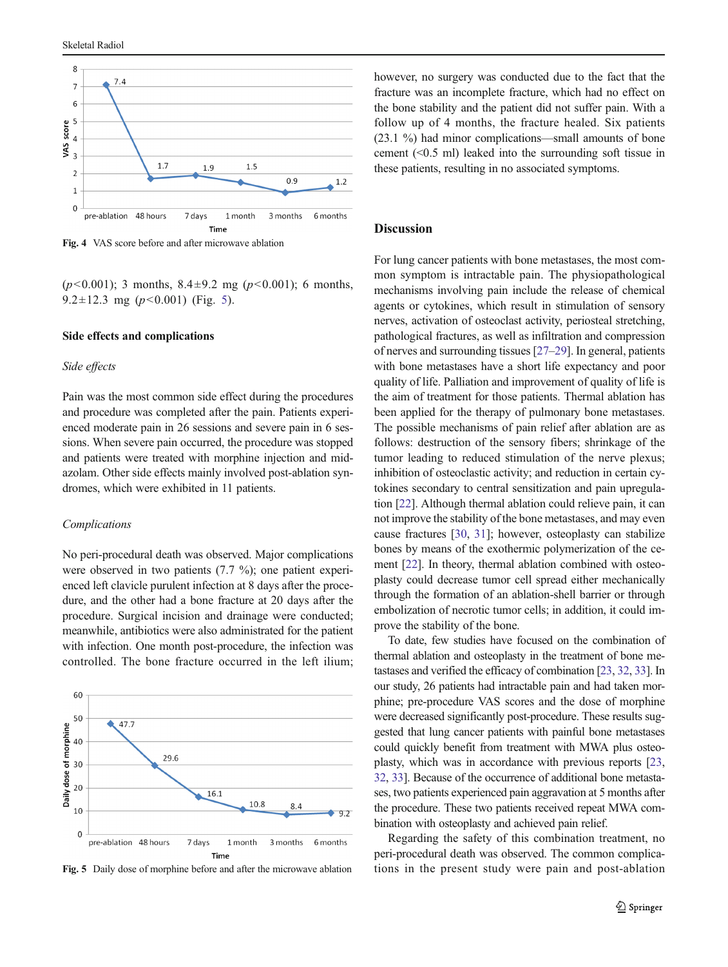<span id="page-4-0"></span>

Fig. 4 VAS score before and after microwave ablation

 $(p<0.001)$ ; 3 months,  $8.4 \pm 9.2$  mg  $(p<0.001)$ ; 6 months, 9.2 $\pm$ 12.3 mg (p<0.001) (Fig. 5).

### Side effects and complications

### Side effects

Pain was the most common side effect during the procedures and procedure was completed after the pain. Patients experienced moderate pain in 26 sessions and severe pain in 6 sessions. When severe pain occurred, the procedure was stopped and patients were treated with morphine injection and midazolam. Other side effects mainly involved post-ablation syndromes, which were exhibited in 11 patients.

### Complications

No peri-procedural death was observed. Major complications were observed in two patients (7.7 %); one patient experienced left clavicle purulent infection at 8 days after the procedure, and the other had a bone fracture at 20 days after the procedure. Surgical incision and drainage were conducted; meanwhile, antibiotics were also administrated for the patient with infection. One month post-procedure, the infection was controlled. The bone fracture occurred in the left ilium;



Fig. 5 Daily dose of morphine before and after the microwave ablation

however, no surgery was conducted due to the fact that the fracture was an incomplete fracture, which had no effect on the bone stability and the patient did not suffer pain. With a follow up of 4 months, the fracture healed. Six patients (23.1 %) had minor complications—small amounts of bone cement (<0.5 ml) leaked into the surrounding soft tissue in these patients, resulting in no associated symptoms.

# **Discussion**

For lung cancer patients with bone metastases, the most common symptom is intractable pain. The physiopathological mechanisms involving pain include the release of chemical agents or cytokines, which result in stimulation of sensory nerves, activation of osteoclast activity, periosteal stretching, pathological fractures, as well as infiltration and compression of nerves and surrounding tissues [\[27](#page-5-0)–[29\]](#page-5-0). In general, patients with bone metastases have a short life expectancy and poor quality of life. Palliation and improvement of quality of life is the aim of treatment for those patients. Thermal ablation has been applied for the therapy of pulmonary bone metastases. The possible mechanisms of pain relief after ablation are as follows: destruction of the sensory fibers; shrinkage of the tumor leading to reduced stimulation of the nerve plexus; inhibition of osteoclastic activity; and reduction in certain cytokines secondary to central sensitization and pain upregulation [[22\]](#page-5-0). Although thermal ablation could relieve pain, it can not improve the stability of the bone metastases, and may even cause fractures [\[30](#page-5-0), [31](#page-5-0)]; however, osteoplasty can stabilize bones by means of the exothermic polymerization of the cement [\[22\]](#page-5-0). In theory, thermal ablation combined with osteoplasty could decrease tumor cell spread either mechanically through the formation of an ablation-shell barrier or through embolization of necrotic tumor cells; in addition, it could improve the stability of the bone.

To date, few studies have focused on the combination of thermal ablation and osteoplasty in the treatment of bone metastases and verified the efficacy of combination [\[23,](#page-5-0) [32,](#page-5-0) [33\]](#page-5-0). In our study, 26 patients had intractable pain and had taken morphine; pre-procedure VAS scores and the dose of morphine were decreased significantly post-procedure. These results suggested that lung cancer patients with painful bone metastases could quickly benefit from treatment with MWA plus osteoplasty, which was in accordance with previous reports [\[23,](#page-5-0) [32,](#page-5-0) [33](#page-5-0)]. Because of the occurrence of additional bone metastases, two patients experienced pain aggravation at 5 months after the procedure. These two patients received repeat MWA combination with osteoplasty and achieved pain relief.

Regarding the safety of this combination treatment, no peri-procedural death was observed. The common complications in the present study were pain and post-ablation